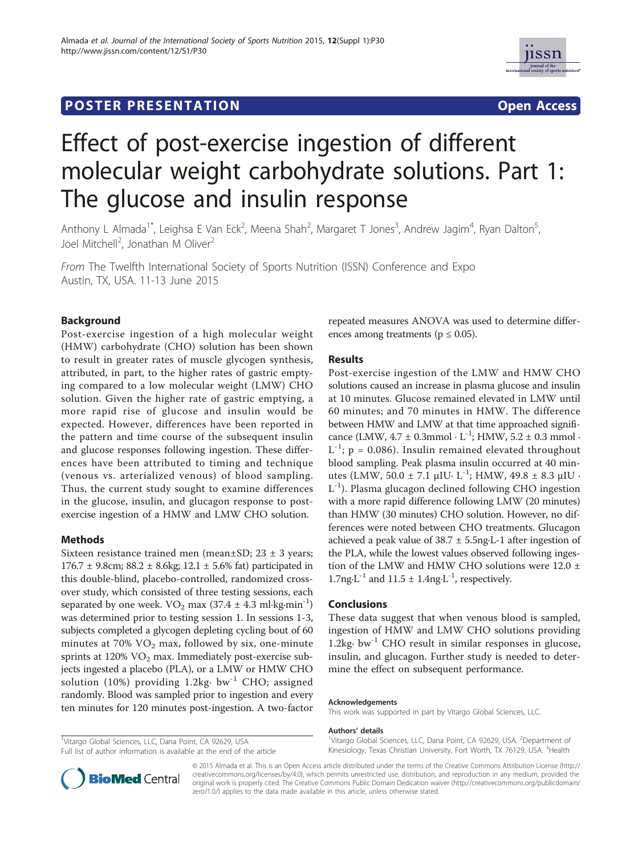# **POSTER PRESENTATION CONSUMING THE SERVICE SERVICE SERVICES**



# Effect of post-exercise ingestion of different molecular weight carbohydrate solutions. Part 1: The glucose and insulin response

Anthony L Almada<sup>1\*</sup>, Leighsa E Van Eck<sup>2</sup>, Meena Shah<sup>2</sup>, Margaret T Jones<sup>3</sup>, Andrew Jagim<sup>4</sup>, Ryan Dalton<sup>5</sup> , Joel Mitchell<sup>2</sup>, Jonathan M Oliver<sup>2</sup>

From The Twelfth International Society of Sports Nutrition (ISSN) Conference and Expo Austin, TX, USA. 11-13 June 2015

## Background

Post-exercise ingestion of a high molecular weight (HMW) carbohydrate (CHO) solution has been shown to result in greater rates of muscle glycogen synthesis, attributed, in part, to the higher rates of gastric emptying compared to a low molecular weight (LMW) CHO solution. Given the higher rate of gastric emptying, a more rapid rise of glucose and insulin would be expected. However, differences have been reported in the pattern and time course of the subsequent insulin and glucose responses following ingestion. These differences have been attributed to timing and technique (venous vs. arterialized venous) of blood sampling. Thus, the current study sought to examine differences in the glucose, insulin, and glucagon response to postexercise ingestion of a HMW and LMW CHO solution.

#### Methods

Sixteen resistance trained men (mean $\pm$ SD; 23  $\pm$  3 years; 176.7 ± 9.8cm; 88.2 ± 8.6kg; 12.1 ± 5.6% fat) participated in this double-blind, placebo-controlled, randomized crossover study, which consisted of three testing sessions, each separated by one week.  $VO<sub>2</sub>$  max (37.4  $\pm$  4.3 ml·kg·min<sup>-1</sup>) was determined prior to testing session 1. In sessions 1-3, subjects completed a glycogen depleting cycling bout of 60 minutes at  $70\%$  VO<sub>2</sub> max, followed by six, one-minute sprints at  $120\%$  VO<sub>2</sub> max. Immediately post-exercise subjects ingested a placebo (PLA), or a LMW or HMW CHO solution (10%) providing  $1.2kg \cdot bw^{-1}$  CHO; assigned randomly. Blood was sampled prior to ingestion and every ten minutes for 120 minutes post-ingestion. A two-factor

<sup>1</sup>Vitargo Global Sciences, LLC, Dana Point, CA 92629, USA Full list of author information is available at the end of the article repeated measures ANOVA was used to determine differences among treatments ( $p \leq 0.05$ ).

### Results

Post-exercise ingestion of the LMW and HMW CHO solutions caused an increase in plasma glucose and insulin at 10 minutes. Glucose remained elevated in LMW until 60 minutes; and 70 minutes in HMW. The difference between HMW and LMW at that time approached significance (LMW,  $4.7 \pm 0.3$ mmol · L<sup>-1</sup>; HMW,  $5.2 \pm 0.3$  mmol ·  $L^{-1}$ ; p = 0.086). Insulin remained elevated throughout blood sampling. Peak plasma insulin occurred at 40 minutes (LMW, 50.0  $\pm$  7.1  $\mu$ IU· L<sup>-1</sup>; HMW, 49.8  $\pm$  8.3  $\mu$ IU·  $L^{-1}$ ). Plasma glucagon declined following CHO ingestion with a more rapid difference following LMW (20 minutes) than HMW (30 minutes) CHO solution. However, no differences were noted between CHO treatments. Glucagon achieved a peak value of  $38.7 \pm 5.5$ ng·L-1 after ingestion of the PLA, while the lowest values observed following ingestion of the LMW and HMW CHO solutions were 12.0 ± 1.7ng $\cdot$ L<sup>-1</sup> and 11.5  $\pm$  1.4ng $\cdot$ L<sup>-1</sup>, respectively.

#### Conclusions

These data suggest that when venous blood is sampled, ingestion of HMW and LMW CHO solutions providing 1.2kg·  $bw^{-1}$  CHO result in similar responses in glucose, insulin, and glucagon. Further study is needed to determine the effect on subsequent performance.

#### Acknowledgements

This work was supported in part by Vitargo Global Sciences, LLC.

#### Authors' details <sup>1</sup>

Vitargo Global Sciences, LLC, Dana Point, CA 92629, USA. <sup>2</sup>Department of Kinesiology, Texas Christian University, Fort Worth, TX 76129, USA. <sup>3</sup>Health



© 2015 Almada et al. This is an Open Access article distributed under the terms of the Creative Commons Attribution License (http:// creativecommons.org/licenses/by/4.0), which permits unrestricted use, distribution, and reproduction in any medium, provided the original work is properly cited. The Creative Commons Public Domain Dedication waiver (http://creativecommons.org/publicdomain/ zero/1.0/) applies to the data made available in this article, unless otherwise stated.